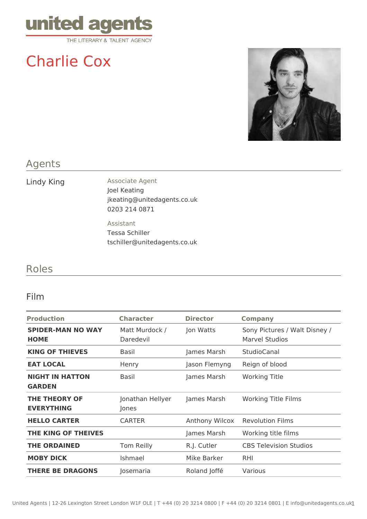

# Charlie Cox



## Agents

Lindy King **Associate Agent** Joel Keating jkeating@unitedagents.co.uk 0203 214 0871

> Assistant Tessa Schiller tschiller@unitedagents.co.uk

# Roles

### Film

| <b>Character</b>            | <b>Director</b> | <b>Company</b>                                         |
|-----------------------------|-----------------|--------------------------------------------------------|
| Matt Murdock /<br>Daredevil | Jon Watts       | Sony Pictures / Walt Disney /<br><b>Marvel Studios</b> |
| Basil                       | James Marsh     | StudioCanal                                            |
| Henry                       | Jason Flemyng   | Reign of blood                                         |
| Basil                       | James Marsh     | <b>Working Title</b>                                   |
| Jonathan Hellyer<br>Jones   | James Marsh     | <b>Working Title Films</b>                             |
| <b>CARTER</b>               | Anthony Wilcox  | <b>Revolution Films</b>                                |
|                             | James Marsh     | Working title films                                    |
| Tom Reilly                  | R.J. Cutler     | <b>CBS Television Studios</b>                          |
| Ishmael                     | Mike Barker     | <b>RHI</b>                                             |
| Josemaria                   | Roland Joffé    | Various                                                |
|                             |                 |                                                        |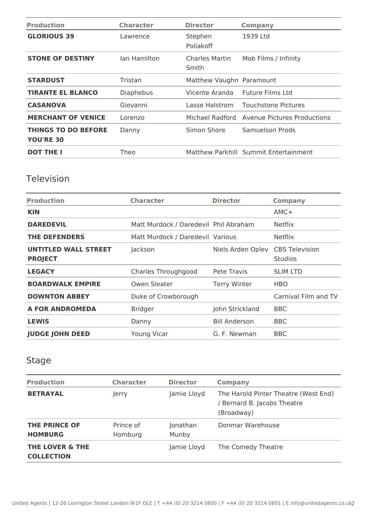| <b>Production</b>                              | <b>Character</b> | <b>Director</b>          | <b>Company</b>                        |
|------------------------------------------------|------------------|--------------------------|---------------------------------------|
| <b>GLORIOUS 39</b>                             | Lawrence         | Stephen<br>Poliakoff     | 1939 Ltd                              |
| <b>STONE OF DESTINY</b>                        | lan Hamilton     | Charles Martin<br>Smith  | Mob Films / Infinity                  |
| <b>STARDUST</b>                                | Tristan          | Matthew Vaughn Paramount |                                       |
| <b>TIRANTE EL BLANCO</b>                       | Diaphebus        | Vicente Aranda           | Future Films Ltd                      |
| <b>CASANOVA</b>                                | Giovanni         | Lasse Halstrom           | <b>Touchstone Pictures</b>            |
| <b>MERCHANT OF VENICE</b>                      | Lorenzo          | Michael Radford          | Avenue Pictures Productions           |
| <b>THINGS TO DO BEFORE</b><br><b>YOU'RE 30</b> | Danny            | Simon Shore              | Samuelson Prods                       |
| <b>DOT THE I</b>                               | Theo             |                          | Matthew Parkhill Summit Entertainment |

# Television

| <b>Production</b>                      | <b>Character</b>                      | <b>Director</b>      | <b>Company</b>                          |
|----------------------------------------|---------------------------------------|----------------------|-----------------------------------------|
| <b>KIN</b>                             |                                       |                      | $AMC+$                                  |
| <b>DAREDEVIL</b>                       | Matt Murdock / Daredevil Phil Abraham |                      | <b>Netflix</b>                          |
| <b>THE DEFENDERS</b>                   | Matt Murdock / Daredevil Various      |                      | <b>Netflix</b>                          |
| UNTITLED WALL STREET<br><b>PROJECT</b> | Jackson                               | Niels Arden Oplev    | <b>CBS</b> Television<br><b>Studios</b> |
| <b>LEGACY</b>                          | Charles Throughgood                   | Pete Travis          | <b>SLIM LTD</b>                         |
| <b>BOARDWALK EMPIRE</b>                | Owen Sleater                          | <b>Terry Winter</b>  | <b>HBO</b>                              |
| <b>DOWNTON ABBEY</b>                   | Duke of Crowborough                   |                      | Carnival Film and TV                    |
| <b>A FOR ANDROMEDA</b>                 | <b>Bridger</b>                        | John Strickland      | <b>BBC</b>                              |
| <b>LEWIS</b>                           | Danny                                 | <b>Bill Anderson</b> | <b>BBC</b>                              |
| <b>JUDGE JOHN DEED</b>                 | <b>Young Vicar</b>                    | G. F. Newman         | <b>BBC</b>                              |

# Stage

| <b>Production</b>                               | <b>Character</b>     | <b>Director</b>   | <b>Company</b>                                                                    |
|-------------------------------------------------|----------------------|-------------------|-----------------------------------------------------------------------------------|
| <b>BETRAYAL</b>                                 | Jerry                | Jamie Lloyd       | The Harold Pinter Theatre (West End)<br>/ Bernard B. Jacobs Theatre<br>(Broadway) |
| <b>THE PRINCE OF</b><br><b>HOMBURG</b>          | Prince of<br>Homburg | Jonathan<br>Munby | Donmar Warehouse                                                                  |
| <b>THE LOVER &amp; THE</b><br><b>COLLECTION</b> |                      | Jamie Lloyd       | The Comedy Theatre                                                                |